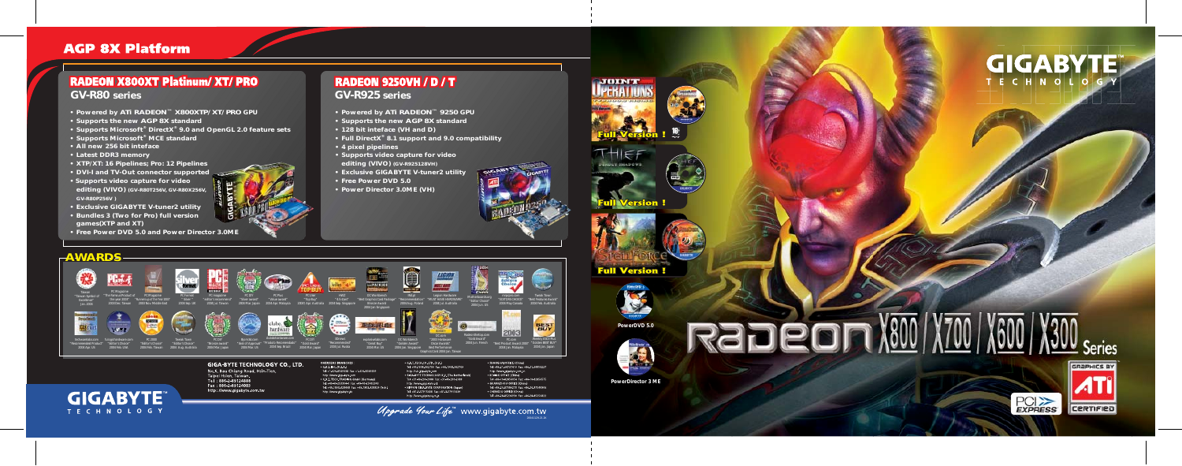- **Powered by ATi RADEON™ 9250 GPU**
- **Supports the new AGP 8X standard**
- **128 bit inteface (VH and D)**
- **Full DirectX® 8.1 support and 9.0 compatibility**
- **4 pixel pipelines**
- **Supports video capture for video editing (VIVO) (GV-R925128VH)**
- **Exclusive GIGABYTE V-tuner2 utility**
- **Free Power DVD 5.0**
- **Power Director 3.0ME (VH)**





# **RADEON 9250VH / D / T GV-R925 series**

## **AGP 8X Platform**

## **RADEON X800XT Platinum/ XT/ PRO GV-R80 series**

- **Powered by ATi RADEON™ X800XTP/ XT/ PRO GPU**
- **Supports the new AGP 8X standard**
- **Supports Microsoft® DirectX® 9.0 and OpenGL 2.0 feature sets**
- **Supports Microsoft® MCE standard**
- **All new 256 bit inteface**
- **Latest DDR3 memory**
- **XTP/XT: 16 Pipelines; Pro: 12 Pipelines**
- **DVI-I and TV-Out connector supported**
- **Supports video capture for video editing (VIVO) (GV-R80T256V, GV-R80X256V, GV-R80P256V )**
- **Exclusive GIGABYTE V-tuner2 utility**
- **Bundles 3 (Two for Pro) full version games(XTP and XT)**
- **Free Power DVD 5.0 and Power Director 3.0ME**

## $-AWARDS$









2004 Feb. Taiwan



http://www.gigabyte.com.tw



OC Workbench "Best Graphics Card Package" Bronze Award 2004 Jan Singapore

**EXIMAL** 



















PC Magazine

2004 Sep. Brazil 2004 Mar. Japan **GIGA-BYTE TECHNOLOGY CO., LTD.** No.6, Bau Chiang Road, Hsin-Tien,<br>Taipei Hsien, Taiwan.<br>Tel : 886-2-89124888<br>Fax : 886-2-89124003

#### **OVERSEAS BRANCHES** GB.T. INC. (U.S.A.) http://www.giga-byte.com

. G.B.T. TECH. TRADING GmbH (Germany) Tel: +49-40-253304-0 Fax: +49-40-2549234 Tel: +49-1803-428468 Fax: +49-1803-428329 (Tech



the year 2003" 2003 Dec. Taiwan

PC Magazine "Runners-up of the Year 2003" 2003 Nov. Middle East



PC Format " Silver " 2004 Sep. UK

**PowerDVD 5.0**

Rabeon



**PowerDirector 3 ME**













2004 Feb. USA

**GIGABYTE** 

TECHNOLOGY







"Recommended Product" 2004 Apr. US















OC.com

PC.com

PC magazine "editor's recommend" 2004 Jul. Taiwan

PC DIY "Silver award" 2004 Mar. Japan

PC Plus "Value award" 2004 Apr. Malaysia



### explosivelabs.com "Great Buy" 2004 Mar. US 3Dnews "Recommended" 2004 Jul. Russia







PC User "Top Buy" 2004† Apr. Australia



HWZ "4.5 stars" 2004 Sep. Singapore

http://www.gigabyte.de





**JOINT** 

*URRULY SHADOW* 



Upgrade Your Life" www.gigabyte.com.tw

IN4.pl "Recommendation" 2004 Aug. Poland

- Tel: +44-1908-362700 Fax: +44-1908-362709 http://uk.giga-byte.com · GIGA-BYTE TECHNOLOGY B.V. (The Netherland: Tel: +31-40-290-2088 Fax: +31-40-290-2089 http://www.giga-byte.nl • NIPPON GIGA-BYTE CORPORATION (Japan) Tel: +81-3-57915438 Fax: +81-3-5791543
- · SHANGHAI OFFICE (China) http://www.gigabyte.com.c · BEUING OFFICE (China) GUANGZHOU OFFICE (China)

Legion Hardware "MUST HAVE HARDWARE" 2004 Jul. Australia

- -









<u>Full Version!</u>







"Editor Choice" 2004 Jun. US





Radeonthetop.com "Gold Award" 2004 Jun. French

20041129-21.2K